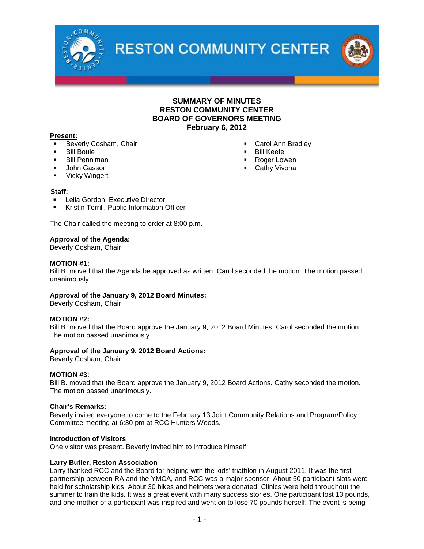

**RESTON COMMUNITY CENTER** 



### **Present:**

- Beverly Cosham, Chair
- Bill Bouie
- Bill Penniman
- John Gasson
- Vicky Wingert

#### **Staff:**

- Leila Gordon, Executive Director
- Kristin Terrill, Public Information Officer

The Chair called the meeting to order at 8:00 p.m.

#### **Approval of the Agenda:**

Beverly Cosham, Chair

### **MOTION #1:**

Bill B. moved that the Agenda be approved as written. Carol seconded the motion. The motion passed unanimously.

#### **Approval of the January 9, 2012 Board Minutes:**

Beverly Cosham, Chair

## **MOTION #2:**

Bill B. moved that the Board approve the January 9, 2012 Board Minutes. Carol seconded the motion. The motion passed unanimously.

#### **Approval of the January 9, 2012 Board Actions:**

Beverly Cosham, Chair

## **MOTION #3:**

Bill B. moved that the Board approve the January 9, 2012 Board Actions. Cathy seconded the motion. The motion passed unanimously.

#### **Chair's Remarks:**

Beverly invited everyone to come to the February 13 Joint Community Relations and Program/Policy Committee meeting at 6:30 pm at RCC Hunters Woods.

#### **Introduction of Visitors**

One visitor was present. Beverly invited him to introduce himself.

#### **Larry Butler, Reston Association**

Larry thanked RCC and the Board for helping with the kids' triathlon in August 2011. It was the first partnership between RA and the YMCA, and RCC was a major sponsor. About 50 participant slots were held for scholarship kids. About 30 bikes and helmets were donated. Clinics were held throughout the summer to train the kids. It was a great event with many success stories. One participant lost 13 pounds, and one mother of a participant was inspired and went on to lose 70 pounds herself. The event is being

- Carol Ann Bradley
- Bill Keefe
- Roger Lowen
- **Cathy Vivona**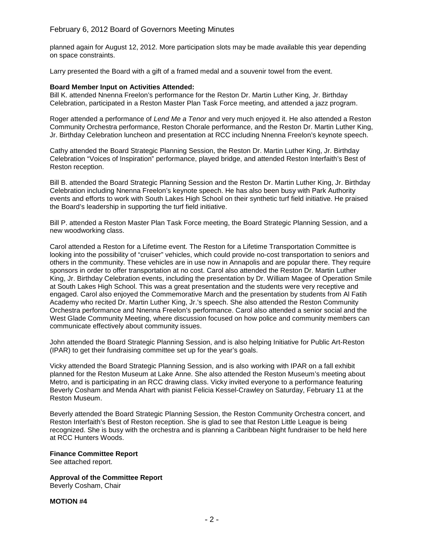planned again for August 12, 2012. More participation slots may be made available this year depending on space constraints.

Larry presented the Board with a gift of a framed medal and a souvenir towel from the event.

## **Board Member Input on Activities Attended:**

Bill K. attended Nnenna Freelon's performance for the Reston Dr. Martin Luther King, Jr. Birthday Celebration, participated in a Reston Master Plan Task Force meeting, and attended a jazz program.

Roger attended a performance of *Lend Me a Tenor* and very much enjoyed it. He also attended a Reston Community Orchestra performance, Reston Chorale performance, and the Reston Dr. Martin Luther King, Jr. Birthday Celebration luncheon and presentation at RCC including Nnenna Freelon's keynote speech.

Cathy attended the Board Strategic Planning Session, the Reston Dr. Martin Luther King, Jr. Birthday Celebration "Voices of Inspiration" performance, played bridge, and attended Reston Interfaith's Best of Reston reception.

Bill B. attended the Board Strategic Planning Session and the Reston Dr. Martin Luther King, Jr. Birthday Celebration including Nnenna Freelon's keynote speech. He has also been busy with Park Authority events and efforts to work with South Lakes High School on their synthetic turf field initiative. He praised the Board's leadership in supporting the turf field initiative.

Bill P. attended a Reston Master Plan Task Force meeting, the Board Strategic Planning Session, and a new woodworking class.

Carol attended a Reston for a Lifetime event. The Reston for a Lifetime Transportation Committee is looking into the possibility of "cruiser" vehicles, which could provide no-cost transportation to seniors and others in the community. These vehicles are in use now in Annapolis and are popular there. They require sponsors in order to offer transportation at no cost. Carol also attended the Reston Dr. Martin Luther King, Jr. Birthday Celebration events, including the presentation by Dr. William Magee of Operation Smile at South Lakes High School. This was a great presentation and the students were very receptive and engaged. Carol also enjoyed the Commemorative March and the presentation by students from Al Fatih Academy who recited Dr. Martin Luther King, Jr.'s speech. She also attended the Reston Community Orchestra performance and Nnenna Freelon's performance. Carol also attended a senior social and the West Glade Community Meeting, where discussion focused on how police and community members can communicate effectively about community issues.

John attended the Board Strategic Planning Session, and is also helping Initiative for Public Art-Reston (IPAR) to get their fundraising committee set up for the year's goals.

Vicky attended the Board Strategic Planning Session, and is also working with IPAR on a fall exhibit planned for the Reston Museum at Lake Anne. She also attended the Reston Museum's meeting about Metro, and is participating in an RCC drawing class. Vicky invited everyone to a performance featuring Beverly Cosham and Menda Ahart with pianist Felicia Kessel-Crawley on Saturday, February 11 at the Reston Museum.

Beverly attended the Board Strategic Planning Session, the Reston Community Orchestra concert, and Reston Interfaith's Best of Reston reception. She is glad to see that Reston Little League is being recognized. She is busy with the orchestra and is planning a Caribbean Night fundraiser to be held here at RCC Hunters Woods.

**Finance Committee Report**

See attached report.

**Approval of the Committee Report** Beverly Cosham, Chair

**MOTION #4**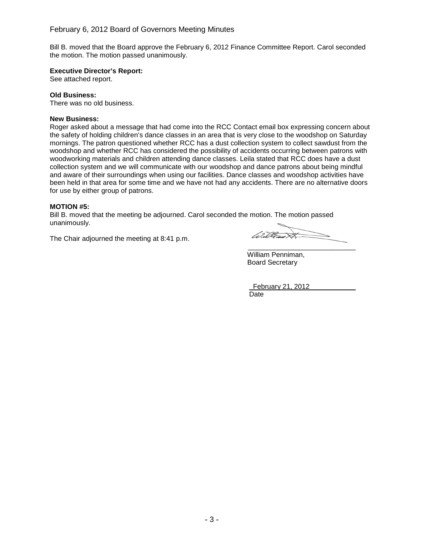Bill B. moved that the Board approve the February 6, 2012 Finance Committee Report. Carol seconded the motion. The motion passed unanimously.

## **Executive Director's Report:**

See attached report.

# **Old Business:**

There was no old business.

## **New Business:**

Roger asked about a message that had come into the RCC Contact email box expressing concern about the safety of holding children's dance classes in an area that is very close to the woodshop on Saturday mornings. The patron questioned whether RCC has a dust collection system to collect sawdust from the woodshop and whether RCC has considered the possibility of accidents occurring between patrons with woodworking materials and children attending dance classes. Leila stated that RCC does have a dust collection system and we will communicate with our woodshop and dance patrons about being mindful and aware of their surroundings when using our facilities. Dance classes and woodshop activities have been held in that area for some time and we have not had any accidents. There are no alternative doors for use by either group of patrons.

## **MOTION #5:**

Bill B. moved that the meeting be adjourned. Carol seconded the motion. The motion passed unanimously.

The Chair adjourned the meeting at 8:41 p.m.

(1) DE and XX \_\_\_\_\_\_\_\_\_\_\_\_\_\_\_\_\_\_\_\_\_\_\_\_\_\_\_\_

William Penniman, Board Secretary

| February 21, 2012 |  |
|-------------------|--|
| Date              |  |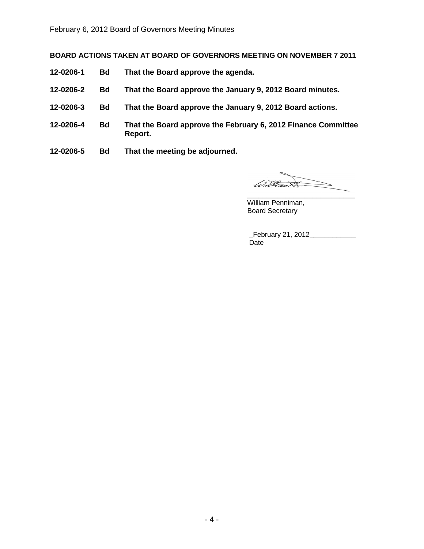**BOARD ACTIONS TAKEN AT BOARD OF GOVERNORS MEETING ON NOVEMBER 7 2011**

- **12-0206-1 Bd That the Board approve the agenda.**
- **12-0206-2 Bd That the Board approve the January 9, 2012 Board minutes.**
- **12-0206-3 Bd That the Board approve the January 9, 2012 Board actions.**
- **12-0206-4 Bd That the Board approve the February 6, 2012 Finance Committee Report.**
- **12-0206-5 Bd That the meeting be adjourned.**

William A \_\_\_\_\_\_\_\_\_\_\_\_\_\_\_\_\_\_\_\_\_\_\_\_\_\_\_\_

William Penniman, Board Secretary

\_February 21, 2012\_\_\_\_\_\_\_\_\_\_\_\_ **Date**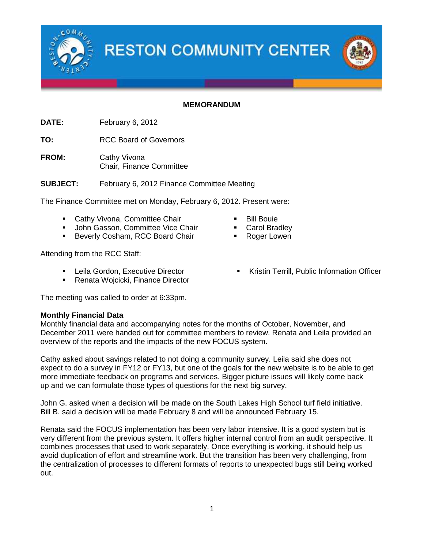

**RESTON COMMUNITY CENTER** 

# **MEMORANDUM**

**DATE:** February 6, 2012

**TO:** RCC Board of Governors

**FROM:** Cathy Vivona Chair, Finance Committee

**SUBJECT:** February 6, 2012 Finance Committee Meeting

The Finance Committee met on Monday, February 6, 2012. Present were:

- Cathy Vivona, Committee Chair
- John Gasson, Committee Vice Chair
- Beverly Cosham, RCC Board Chair

Attending from the RCC Staff:

- **EXECUTE:** Leila Gordon, Executive Director
- Renata Wojcicki, Finance Director

The meeting was called to order at 6:33pm.

# **Monthly Financial Data**

Monthly financial data and accompanying notes for the months of October, November, and December 2011 were handed out for committee members to review. Renata and Leila provided an overview of the reports and the impacts of the new FOCUS system.

Cathy asked about savings related to not doing a community survey. Leila said she does not expect to do a survey in FY12 or FY13, but one of the goals for the new website is to be able to get more immediate feedback on programs and services. Bigger picture issues will likely come back up and we can formulate those types of questions for the next big survey.

John G. asked when a decision will be made on the South Lakes High School turf field initiative. Bill B. said a decision will be made February 8 and will be announced February 15.

Renata said the FOCUS implementation has been very labor intensive. It is a good system but is very different from the previous system. It offers higher internal control from an audit perspective. It combines processes that used to work separately. Once everything is working, it should help us avoid duplication of effort and streamline work. But the transition has been very challenging, from the centralization of processes to different formats of reports to unexpected bugs still being worked out.

- Bill Bouie
- Carol Bradley
- Roger Lowen
- Kristin Terrill, Public Information Officer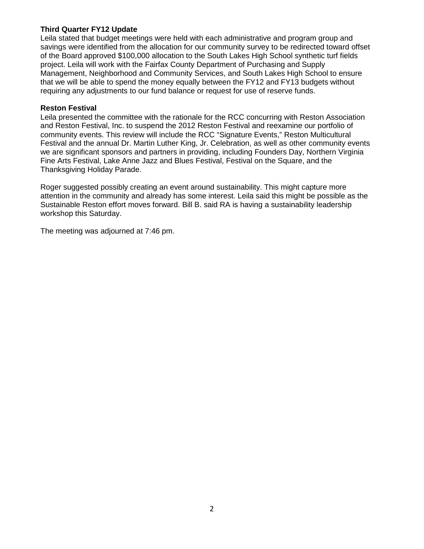# **Third Quarter FY12 Update**

Leila stated that budget meetings were held with each administrative and program group and savings were identified from the allocation for our community survey to be redirected toward offset of the Board approved \$100,000 allocation to the South Lakes High School synthetic turf fields project. Leila will work with the Fairfax County Department of Purchasing and Supply Management, Neighborhood and Community Services, and South Lakes High School to ensure that we will be able to spend the money equally between the FY12 and FY13 budgets without requiring any adjustments to our fund balance or request for use of reserve funds.

# **Reston Festival**

Leila presented the committee with the rationale for the RCC concurring with Reston Association and Reston Festival, Inc. to suspend the 2012 Reston Festival and reexamine our portfolio of community events. This review will include the RCC "Signature Events," Reston Multicultural Festival and the annual Dr. Martin Luther King, Jr. Celebration, as well as other community events we are significant sponsors and partners in providing, including Founders Day, Northern Virginia Fine Arts Festival, Lake Anne Jazz and Blues Festival, Festival on the Square, and the Thanksgiving Holiday Parade.

Roger suggested possibly creating an event around sustainability. This might capture more attention in the community and already has some interest. Leila said this might be possible as the Sustainable Reston effort moves forward. Bill B. said RA is having a sustainability leadership workshop this Saturday.

The meeting was adjourned at 7:46 pm.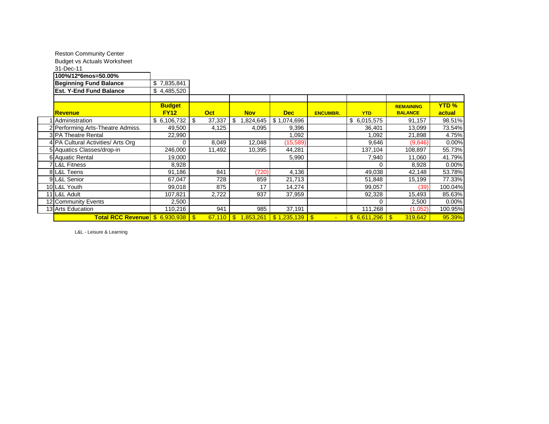| <b>Reston Community Center</b>                          |               |              |                |                                       |                 |             |                  |              |
|---------------------------------------------------------|---------------|--------------|----------------|---------------------------------------|-----------------|-------------|------------------|--------------|
| <b>Budget vs Actuals Worksheet</b>                      |               |              |                |                                       |                 |             |                  |              |
| 31-Dec-11                                               |               |              |                |                                       |                 |             |                  |              |
| 100%/12*6mos=50.00%                                     |               |              |                |                                       |                 |             |                  |              |
| <b>Beginning Fund Balance</b>                           | \$7,835,841   |              |                |                                       |                 |             |                  |              |
| <b>Est. Y-End Fund Balance</b>                          | \$4,485,520   |              |                |                                       |                 |             |                  |              |
|                                                         |               |              |                |                                       |                 |             |                  |              |
|                                                         | <b>Budget</b> |              |                |                                       |                 |             | <b>REMAINING</b> | <b>YTD %</b> |
| <u> Revenue</u>                                         | <b>FY12</b>   | <b>Oct</b>   | <b>Nov</b>     | <b>Dec</b>                            | <b>ENCUMBR.</b> | <b>YTD</b>  | <b>BALANCE</b>   | actual       |
| Administration                                          | \$6,106,732   | \$<br>37,337 | \$<br>,824,645 | \$1,074,696                           |                 | \$6,015,575 | 91,157           | 98.51%       |
| 2 Performing Arts-Theatre Admiss.                       | 49,500        | 4,125        | 4,095          | 9,396                                 |                 | 36,401      | 13,099           | 73.54%       |
| 3 PA Theatre Rental                                     | 22,990        |              |                | 1,092                                 |                 | 1,092       | 21,898           | 4.75%        |
| 4 PA Cultural Activities/ Arts Org                      | 0             | 8,049        | 12,048         | (15,589)                              |                 | 9,646       | (9,646)          | 0.00%        |
| 5 Aquatics Classes/drop-in                              | 246,000       | 11,492       | 10,395         | 44,281                                |                 | 137,104     | 108,897          | 55.73%       |
| 6 Aquatic Rental                                        | 19,000        |              |                | 5,990                                 |                 | 7,940       | 11,060           | 41.79%       |
| <b>7 L&amp;L Fitness</b>                                | 8,928         |              |                |                                       |                 | $\Omega$    | 8,928            | 0.00%        |
| 8 L&L Teens                                             | 91,186        | 841          | (720)          | 4,136                                 |                 | 49,038      | 42,148           | 53.78%       |
| 9 L&L Senior                                            | 67,047        | 728          | 859            | 21,713                                |                 | 51,848      | 15,199           | 77.33%       |
| 10 L&L Youth                                            | 99,018        | 875          | 17             | 14,274                                |                 | 99,057      | (39)             | 100.04%      |
| 11 L&L Adult                                            | 107,821       | 2,722        | 937            | 37,959                                |                 | 92,328      | 15,493           | 85.63%       |
| 12 Community Events                                     | 2,500         |              |                |                                       |                 | $\Omega$    | 2,500            | 0.00%        |
| 13 Arts Education                                       | 110,216       | 941          | 985            | 37,191                                |                 | 111,268     | (1,052)          | 100.95%      |
| Total RCC Revenue $\frac{1}{3}$ 6,930,938 $\frac{1}{3}$ |               |              |                | $67,110$ \$ 1,853,261 \$ 1,235,139 \$ |                 |             | 319,642          | 95.39%       |

L&L - Leisure & Learning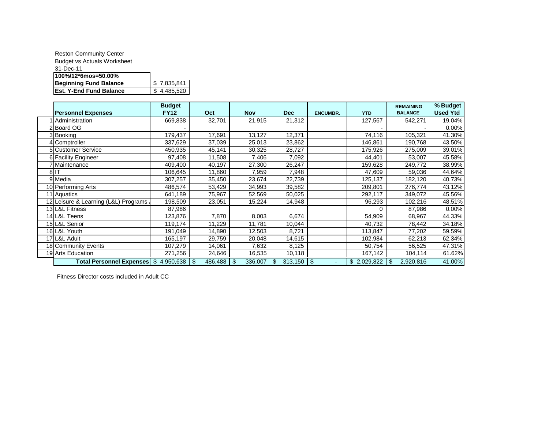| <b>Reston Community Center</b>     |             |
|------------------------------------|-------------|
| <b>Budget vs Actuals Worksheet</b> |             |
| 31-Dec-11                          |             |
| 100%/12*6mos=50.00%                |             |
| <b>Beginning Fund Balance</b>      | \$7.835.841 |
| <b>Est. Y-End Fund Balance</b>     | \$4.485.520 |

|                                          | <b>Budget</b> |            |            |                    |                 |            | <b>REMAINING</b> | $%$ Budget      |
|------------------------------------------|---------------|------------|------------|--------------------|-----------------|------------|------------------|-----------------|
| <b>Personnel Expenses</b>                | <b>FY12</b>   | Oct        | <b>Nov</b> | <b>Dec</b>         | <b>ENCUMBR.</b> | <b>YTD</b> | <b>BALANCE</b>   | <b>Used Ytd</b> |
| Administration                           | 669,838       | 32,701     | 21,915     | 21,312             |                 | 127,567    | 542,271          | 19.04%          |
| 2 Board OG                               |               |            |            |                    |                 |            |                  | 0.00%           |
| 3 Booking                                | 179,437       | 17,691     | 13,127     | 12,371             |                 | 74,116     | 105,321          | 41.30%          |
| 4 Comptroller                            | 337,629       | 37,039     | 25,013     | 23,862             |                 | 146,861    | 190,768          | 43.50%          |
| 5 Customer Service                       | 450,935       | 45,141     | 30,325     | 28,727             |                 | 175,926    | 275,009          | 39.01%          |
| 6 Facility Engineer                      | 97,408        | 11,508     | 7,406      | 7,092              |                 | 44,401     | 53,007           | 45.58%          |
| 7 Maintenance                            | 409,400       | 40,197     | 27,300     | 26,247             |                 | 159,628    | 249,772          | 38.99%          |
| 8IT                                      | 106,645       | 11,860     | 7,959      | 7,948              |                 | 47,609     | 59,036           | 44.64%          |
| 9 Media                                  | 307,257       | 35,450     | 23,674     | 22,739             |                 | 125,137    | 182,120          | 40.73%          |
| 10 Performing Arts                       | 486,574       | 53,429     | 34,993     | 39,582             |                 | 209,801    | 276,774          | 43.12%          |
| 11 Aquatics                              | 641,189       | 75,967     | 52,569     | 50,025             |                 | 292,117    | 349,072          | 45.56%          |
| 12 Leisure & Learning (L&L) Programs     | 198,509       | 23,051     | 15,224     | 14,948             |                 | 96,293     | 102,216          | 48.51%          |
| 13 L&L Fitness                           | 87,986        |            |            |                    |                 |            | 87,986           | 0.00%           |
| 14 L&L Teens                             | 123,876       | 7,870      | 8,003      | 6,674              |                 | 54,909     | 68,967           | 44.33%          |
| 15 L&L Senior                            | 119,174       | 11,229     | 11,781     | 10,044             |                 | 40,732     | 78,442           | 34.18%          |
| 16 L&L Youth                             | 191,049       | 14,890     | 12,503     | 8,721              |                 | 113,847    | 77,202           | 59.59%          |
| 17 L&L Adult                             | 165,197       | 29,759     | 20,048     | 14,615             |                 | 102,984    | 62,213           | 62.34%          |
| 18 Community Events                      | 107,279       | 14,061     | 7,632      | 8,125              |                 | 50,754     | 56,525           | 47.31%          |
| 19 Arts Education                        | 271,256       | 24,646     | 16,535     | 10,118             |                 | 167,142    | 104,114          | 61.62%          |
| Total Personnel Expenses \$ 4,950,638 \$ |               | 486,488 \$ | 336,007    | $313,150$ \$<br>\$ |                 |            | 2,920,816        | 41.00%          |

Fitness Director costs included in Adult CC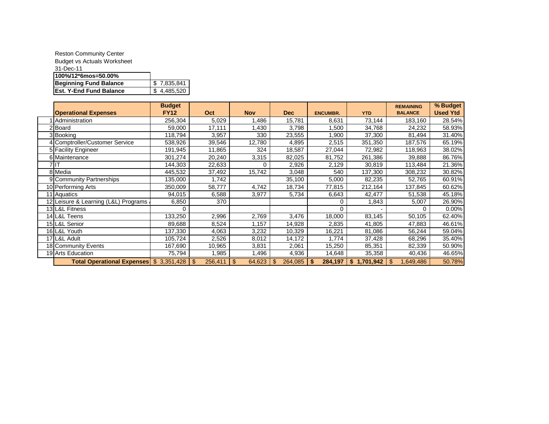| <b>Reston Community Center</b>     |             |
|------------------------------------|-------------|
| <b>Budget vs Actuals Worksheet</b> |             |
| 31-Dec-11                          |             |
| 100%/12*6mos=50.00%                |             |
| <b>Beginning Fund Balance</b>      | \$7.835.841 |
| <b>Est. Y-End Fund Balance</b>     | \$4.485.520 |

|                                         | <b>Budget</b> |               |               |                     |                 |             | <b>REMAINING</b> | % Budget        |
|-----------------------------------------|---------------|---------------|---------------|---------------------|-----------------|-------------|------------------|-----------------|
| <b>Operational Expenses</b>             | <b>FY12</b>   | Oct           | <b>Nov</b>    | <b>Dec</b>          | <b>ENCUMBR.</b> | <b>YTD</b>  | <b>BALANCE</b>   | <b>Used Ytd</b> |
| Administration                          | 256,304       | 5,029         | .486          | 15,781              | 8,631           | 73,144      | 183,160          | 28.54%          |
| 2 Board                                 | 59,000        | 17,111        | 1,430         | 3,798               | 1,500           | 34,768      | 24,232           | 58.93%          |
| 3 Booking                               | 118,794       | 3,957         | 330           | 23,555              | 1,900           | 37,300      | 81,494           | 31.40%          |
| 4 Comptroller/Customer Service          | 538,926       | 39,546        | 12,780        | 4,895               | 2,515           | 351,350     | 187,576          | 65.19%          |
| 5Facility Engineer                      | 191,945       | 11,865        | 324           | 18,587              | 27,044          | 72,982      | 118,963          | 38.02%          |
| 6 Maintenance                           | 301,274       | 20,240        | 3,315         | 82,025              | 81,752          | 261,386     | 39,888           | 86.76%          |
| 7 IT                                    | 144,303       | 22,633        | 0             | 2,926               | 2,129           | 30,819      | 113,484          | 21.36%          |
| 8 Media                                 | 445,532       | 37,492        | 15,742        | 3,048               | 540             | 137,300     | 308,232          | 30.82%          |
| 9 Community Partnerships                | 135,000       | 1,742         |               | 35,100              | 5,000           | 82,235      | 52,765           | 60.91%          |
| 10 Performing Arts                      | 350,009       | 58,777        | 4,742         | 18,734              | 77,815          | 212,164     | 137,845          | 60.62%          |
| 11 Aquatics                             | 94,015        | 6,588         | 3,977         | 5,734               | 6,643           | 42,477      | 51,538           | 45.18%          |
| 12 Leisure & Learning (L&L) Programs.   | 6,850         | 370           |               |                     |                 | 1,843       | 5,007            | 26.90%          |
| 13 L&L Fitness                          |               |               |               |                     |                 |             |                  | 0.00%           |
| 14 L&L Teens                            | 133,250       | 2,996         | 2,769         | 3,476               | 18,000          | 83,145      | 50,105           | 62.40%          |
| 15 L&L Senior                           | 89,688        | 8,524         | 1,157         | 14,928              | 2,835           | 41,805      | 47,883           | 46.61%          |
| 16 L&L Youth                            | 137,330       | 4,063         | 3,232         | 10,329              | 16,221          | 81,086      | 56,244           | 59.04%          |
| 17 L&L Adult                            | 105,724       | 2,526         | 8,012         | 14,172              | 1,774           | 37,428      | 68,296           | 35.40%          |
| 18 Community Events                     | 167,690       | 10,965        | 3,831         | 2,061               | 15,250          | 85,351      | 82,339           | 50.90%          |
| 19 Arts Education                       | 75,794        | l,985         | 496, ا        | 4,936               | 14,648          | 35,358      | 40,436           | 46.65%          |
| Total Operational Expenses \$ 3,351,428 |               | \$<br>256,411 | 64,623<br>-\$ | $264,085$ \$<br>-\$ | 284,197         | \$1,701,942 | -\$<br>1,649,486 | 50.78%          |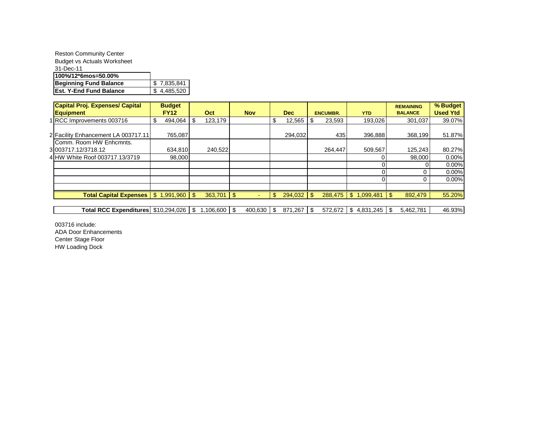| <b>Reston Community Center</b>     |             |
|------------------------------------|-------------|
| <b>Budget vs Actuals Worksheet</b> |             |
| 31-Dec-11                          |             |
| 100%/12*6mos=50.00%                |             |
| Beginning Fund Balance             | \$7,835,841 |
| <b>Est. Y-End Fund Balance</b>     | \$4,485,520 |

| <b>Capital Proj. Expenses/ Capital</b>     | <b>Budget</b> |                   |                |              |   |                 |                           | <b>REMAINING</b>  | % Budget        |
|--------------------------------------------|---------------|-------------------|----------------|--------------|---|-----------------|---------------------------|-------------------|-----------------|
| <b>Equipment</b>                           | <b>FY12</b>   | Oct               | <b>Nov</b>     | <b>Dec</b>   |   | <b>ENCUMBR.</b> | <b>YTD</b>                | <b>BALANCE</b>    | <b>Used Ytd</b> |
| 1 RCC Improvements 003716                  | 494,064       | 123,179           |                | \$<br>12,565 | S | 23,593          | 193,026                   | 301.037           | 39.07%          |
|                                            |               |                   |                |              |   |                 |                           |                   |                 |
| 2 Facility Enhancement LA 003717.11        | 765.087       |                   |                | 294,032      |   | 435             | 396,888                   | 368,199           | 51.87%          |
| Comm. Room HW Enhcmnts.                    |               |                   |                |              |   |                 |                           |                   |                 |
| 3003717.12/3718.12                         | 634,810       | 240,522           |                |              |   | 264.447         | 509.567                   | 125,243           | 80.27%          |
| 4 HW White Roof 003717.13/3719             | 98,000        |                   |                |              |   |                 |                           | 98,000            | $0.00\%$        |
|                                            |               |                   |                |              |   |                 |                           |                   | 0.00%           |
|                                            |               |                   |                |              |   |                 |                           |                   | 0.00%           |
|                                            |               |                   |                |              |   |                 |                           |                   | 0.00%           |
|                                            |               |                   |                |              |   |                 |                           |                   |                 |
| Total Capital Expenses   \$ 1,991,960   \$ |               | $363,701$ \$      |                | \$           |   |                 | $288,475$ \$ 1,099,481 \$ | 892.479           | 55.20%          |
|                                            |               |                   |                |              |   |                 |                           |                   |                 |
| Total RCC Expenditures \$10,294,026        |               | \$<br>1.106.600 S | $400.630$ \ \$ |              |   |                 | 572,672   \$4,831,245     | ∣\$.<br>5.462.781 | 46.93%          |

003716 include: ADA Door Enhancements Center Stage Floor HW Loading Dock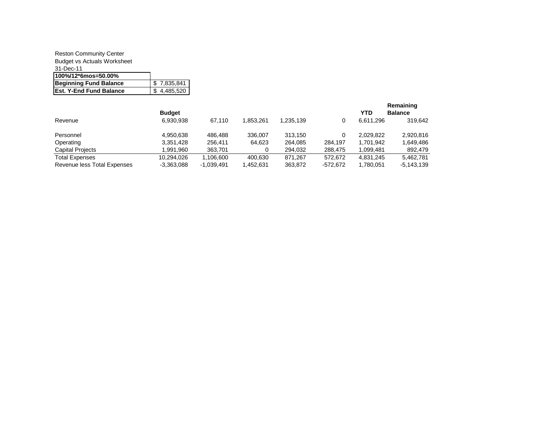#### Reston Community Center Budget vs Actuals Worksheet 31-Dec-11 **100%/12\*6mos=50.00% Beginning Fund Balance | \$ 7,835,841 Est. Y-End Fund Balance 4 4,485,520**

|                             |               |            |           |           |            |            | Remaining      |
|-----------------------------|---------------|------------|-----------|-----------|------------|------------|----------------|
|                             | <b>Budget</b> |            |           |           |            | <b>YTD</b> | <b>Balance</b> |
| Revenue                     | 6,930,938     | 67.110     | 1.853.261 | 1.235.139 |            | 6.611.296  | 319,642        |
| Personnel                   | 4,950,638     | 486.488    | 336.007   | 313.150   |            | 2.029.822  | 2,920,816      |
| Operating                   | 3,351,428     | 256.411    | 64.623    | 264.085   | 284.197    | 1.701.942  | 1,649,486      |
| <b>Capital Projects</b>     | 1.991.960     | 363.701    |           | 294,032   | 288,475    | 1.099.481  | 892,479        |
| <b>Total Expenses</b>       | 10.294.026    | 1.106.600  | 400.630   | 871.267   | 572.672    | 4.831.245  | 5.462.781      |
| Revenue less Total Expenses | $-3.363.088$  | -1.039.491 | 452,631,  | 363,872   | $-572.672$ | 1.780.051  | $-5.143.139$   |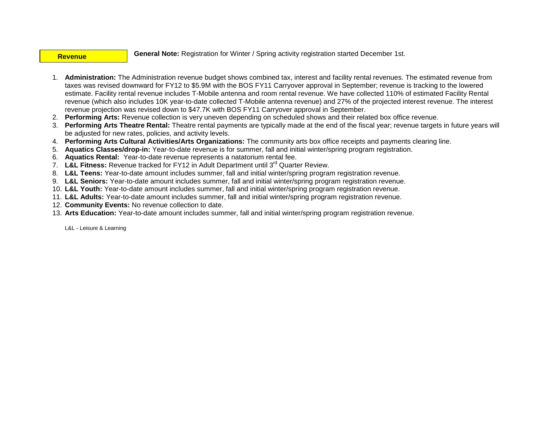#### **Revenue**

**General Note:** Registration for Winter / Spring activity registration started December 1st.

- 1. **Administration:** The Administration revenue budget shows combined tax, interest and facility rental revenues. The estimated revenue from taxes was revised downward for FY12 to \$5.9M with the BOS FY11 Carryover approval in September; revenue is tracking to the lowered estimate. Facility rental revenue includes T-Mobile antenna and room rental revenue. We have collected 110% of estimated Facility Rental revenue (which also includes 10K year-to-date collected T-Mobile antenna revenue) and 27% of the projected interest revenue. The interest revenue projection was revised down to \$47.7K with BOS FY11 Carryover approval in September.
- 2. **Performing Arts:** Revenue collection is very uneven depending on scheduled shows and their related box office revenue.
- 3. **Performing Arts Theatre Rental:** Theatre rental payments are typically made at the end of the fiscal year; revenue targets in future years will be adjusted for new rates, policies, and activity levels.
- 4. **Performing Arts Cultural Activities/Arts Organizations:** The community arts box office receipts and payments clearing line.
- 5. **Aquatics Classes/drop-in:** Year-to-date revenue is for summer, fall and initial winter/spring program registration.
- 6. **Aquatics Rental:** Year-to-date revenue represents a natatorium rental fee.
- 7. L&L Fitness: Revenue tracked for FY12 in Adult Department until 3<sup>rd</sup> Quarter Review.
- 8. **L&L Teens:** Year-to-date amount includes summer, fall and initial winter/spring program registration revenue.
- 9. **L&L Seniors:** Year-to-date amount includes summer, fall and initial winter/spring program registration revenue.
- 10. **L&L Youth:** Year-to-date amount includes summer, fall and initial winter/spring program registration revenue.
- 11. **L&L Adults:** Year-to-date amount includes summer, fall and initial winter/spring program registration revenue.
- 12. **Community Events:** No revenue collection to date.
- 13. **Arts Education:** Year-to-date amount includes summer, fall and initial winter/spring program registration revenue.

L&L - Leisure & Learning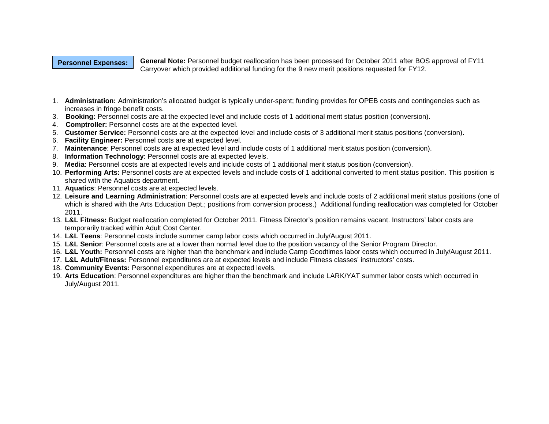# **Personnel Expenses:**

**General Note:** Personnel budget reallocation has been processed for October 2011 after BOS approval of FY11 Carryover which provided additional funding for the 9 new merit positions requested for FY12.

- 1. **Administration:** Administration's allocated budget is typically under-spent; funding provides for OPEB costs and contingencies such as increases in fringe benefit costs.
- 3. **Booking:** Personnel costs are at the expected level and include costs of 1 additional merit status position (conversion).
- 4. **Comptroller:** Personnel costs are at the expected level.
- 5. **Customer Service:** Personnel costs are at the expected level and include costs of 3 additional merit status positions (conversion).
- 6. **Facility Engineer:** Personnel costs are at expected level.
- 7. **Maintenance**: Personnel costs are at expected level and include costs of 1 additional merit status position (conversion).
- 8. **Information Technology**: Personnel costs are at expected levels.
- 9. **Media**: Personnel costs are at expected levels and include costs of 1 additional merit status position (conversion).
- 10. **Performing Arts:** Personnel costs are at expected levels and include costs of 1 additional converted to merit status position. This position is shared with the Aquatics department.
- 11. **Aquatics**: Personnel costs are at expected levels.
- 12. **Leisure and Learning Administration**: Personnel costs are at expected levels and include costs of 2 additional merit status positions (one of which is shared with the Arts Education Dept.; positions from conversion process.) Additional funding reallocation was completed for October 2011.
- 13. **L&L Fitness:** Budget reallocation completed for October 2011. Fitness Director's position remains vacant. Instructors' labor costs are temporarily tracked within Adult Cost Center.
- 14. **L&L Teens**: Personnel costs include summer camp labor costs which occurred in July/August 2011.
- 15. **L&L Senior**: Personnel costs are at a lower than normal level due to the position vacancy of the Senior Program Director.
- 16. **L&L Youth:** Personnel costs are higher than the benchmark and include Camp Goodtimes labor costs which occurred in July/August 2011.
- 17. **L&L Adult/Fitness:** Personnel expenditures are at expected levels and include Fitness classes' instructors' costs.
- 18. **Community Events:** Personnel expenditures are at expected levels.
- 19. **Arts Education**: Personnel expenditures are higher than the benchmark and include LARK/YAT summer labor costs which occurred in July/August 2011.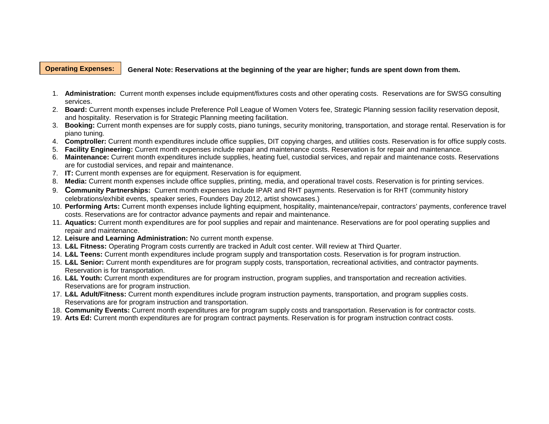#### **Operating Expenses:**

## **General Note: Reservations at the beginning of the year are higher; funds are spent down from them.**

- 1. **Administration:** Current month expenses include equipment/fixtures costs and other operating costs. Reservations are for SWSG consulting services.
- 2. **Board:** Current month expenses include Preference Poll League of Women Voters fee, Strategic Planning session facility reservation deposit, and hospitality. Reservation is for Strategic Planning meeting facilitation.
- 3. **Booking:** Current month expenses are for supply costs, piano tunings, security monitoring, transportation, and storage rental. Reservation is for piano tuning.
- 4. **Comptroller:** Current month expenditures include office supplies, DIT copying charges, and utilities costs. Reservation is for office supply costs.
- 5. **Facility Engineering:** Current month expenses include repair and maintenance costs. Reservation is for repair and maintenance.
- 6. **Maintenance:** Current month expenditures include supplies, heating fuel, custodial services, and repair and maintenance costs. Reservations are for custodial services, and repair and maintenance.
- 7. **IT:** Current month expenses are for equipment. Reservation is for equipment.
- 8. **Media:** Current month expenses include office supplies, printing, media, and operational travel costs. Reservation is for printing services.
- 9. **Community Partnerships:** Current month expenses include IPAR and RHT payments. Reservation is for RHT (community history celebrations/exhibit events, speaker series, Founders Day 2012, artist showcases.)
- 10. **Performing Arts:** Current month expenses include lighting equipment, hospitality, maintenance/repair, contractors' payments, conference travel costs. Reservations are for contractor advance payments and repair and maintenance.
- 11. **Aquatics:** Current month expenditures are for pool supplies and repair and maintenance. Reservations are for pool operating supplies and repair and maintenance.
- 12. **Leisure and Learning Administration:** No current month expense.
- 13. **L&L Fitness:** Operating Program costs currently are tracked in Adult cost center. Will review at Third Quarter.
- 14. **L&L Teens:** Current month expenditures include program supply and transportation costs. Reservation is for program instruction.
- 15. **L&L Senior:** Current month expenditures are for program supply costs, transportation, recreational activities, and contractor payments. Reservation is for transportation.
- 16. **L&L Youth:** Current month expenditures are for program instruction, program supplies, and transportation and recreation activities. Reservations are for program instruction.
- 17. **L&L Adult/Fitness:** Current month expenditures include program instruction payments, transportation, and program supplies costs. Reservations are for program instruction and transportation.
- 18. **Community Events:** Current month expenditures are for program supply costs and transportation. Reservation is for contractor costs.
- 19. **Arts Ed:** Current month expenditures are for program contract payments. Reservation is for program instruction contract costs.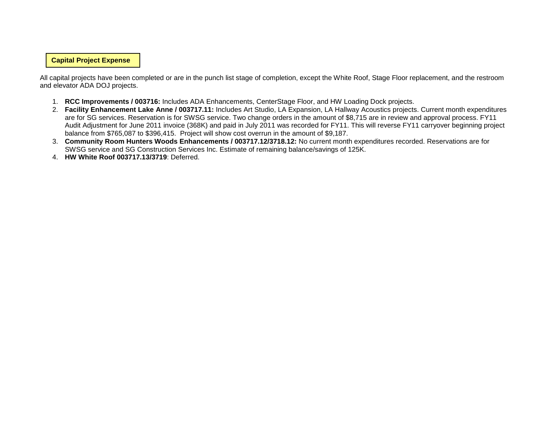# **Capital Project Expense**

All capital projects have been completed or are in the punch list stage of completion, except the White Roof, Stage Floor replacement, and the restroom and elevator ADA DOJ projects.

- 1. **RCC Improvements / 003716:** Includes ADA Enhancements, CenterStage Floor, and HW Loading Dock projects.
- 2. **Facility Enhancement Lake Anne / 003717.11:** Includes Art Studio, LA Expansion, LA Hallway Acoustics projects. Current month expenditures are for SG services. Reservation is for SWSG service. Two change orders in the amount of \$8,715 are in review and approval process. FY11 Audit Adjustment for June 2011 invoice (368K) and paid in July 2011 was recorded for FY11. This will reverse FY11 carryover beginning project balance from \$765,087 to \$396,415. Project will show cost overrun in the amount of \$9,187.
- 3. **Community Room Hunters Woods Enhancements / 003717.12/3718.12:** No current month expenditures recorded. Reservations are for SWSG service and SG Construction Services Inc. Estimate of remaining balance/savings of 125K.
- 4. **HW White Roof 003717.13/3719**: Deferred.